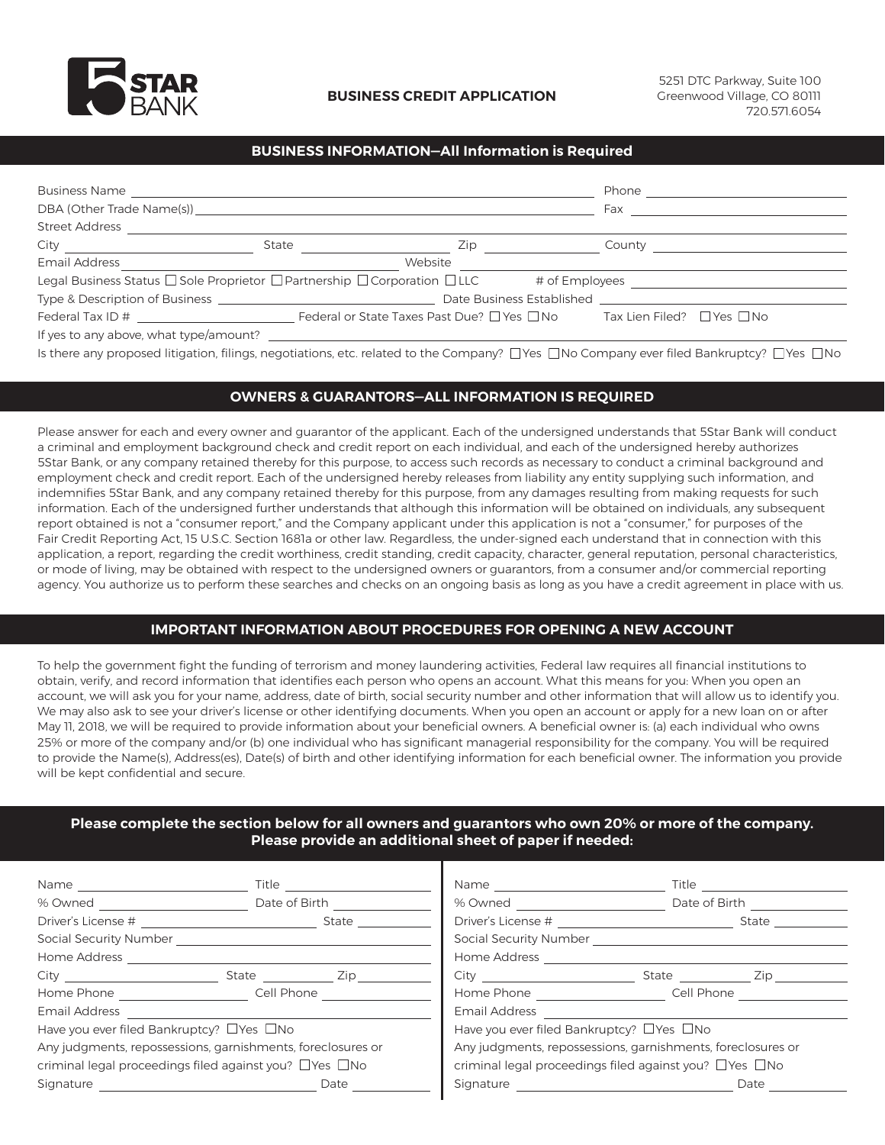

## **BUSINESS INFORMATION—All Information is Required**

| Zip |                                                                                                                       |
|-----|-----------------------------------------------------------------------------------------------------------------------|
|     |                                                                                                                       |
|     |                                                                                                                       |
|     |                                                                                                                       |
|     |                                                                                                                       |
|     |                                                                                                                       |
|     | <u> 1989 - John Stein, mars et al. 1989 - Ann an Dùbhlachd ann an t-Alban ann an t-Alban ann an t-Alban ann an t-</u> |

Is there any proposed litigation, filings, negotiations, etc. related to the Company?  $\Box$  Yes  $\Box$  No Company ever filed Bankruptcy?  $\Box$  Yes  $\Box$  No

## **OWNERS & GUARANTORS—ALL INFORMATION IS REQUIRED**

Please answer for each and every owner and guarantor of the applicant. Each of the undersigned understands that 5Star Bank will conduct a criminal and employment background check and credit report on each individual, and each of the undersigned hereby authorizes 5Star Bank, or any company retained thereby for this purpose, to access such records as necessary to conduct a criminal background and employment check and credit report. Each of the undersigned hereby releases from liability any entity supplying such information, and indemnifies 5Star Bank, and any company retained thereby for this purpose, from any damages resulting from making requests for such information. Each of the undersigned further understands that although this information will be obtained on individuals, any subsequent report obtained is not a "consumer report," and the Company applicant under this application is not a "consumer," for purposes of the Fair Credit Reporting Act, 15 U.S.C. Section 1681a or other law. Regardless, the under-signed each understand that in connection with this application, a report, regarding the credit worthiness, credit standing, credit capacity, character, general reputation, personal characteristics, or mode of living, may be obtained with respect to the undersigned owners or guarantors, from a consumer and/or commercial reporting agency. You authorize us to perform these searches and checks on an ongoing basis as long as you have a credit agreement in place with us.

### **IMPORTANT INFORMATION ABOUT PROCEDURES FOR OPENING A NEW ACCOUNT**

To help the government fight the funding of terrorism and money laundering activities, Federal law requires all financial institutions to obtain, verify, and record information that identifies each person who opens an account. What this means for you: When you open an account, we will ask you for your name, address, date of birth, social security number and other information that will allow us to identify you. We may also ask to see your driver's license or other identifying documents. When you open an account or apply for a new loan on or after May 11, 2018, we will be required to provide information about your beneficial owners. A beneficial owner is: (a) each individual who owns 25% or more of the company and/or (b) one individual who has significant managerial responsibility for the company. You will be required to provide the Name(s), Address(es), Date(s) of birth and other identifying information for each beneficial owner. The information you provide will be kept confidential and secure.

### **Please complete the section below for all owners and guarantors who own 20% or more of the company. Please provide an additional sheet of paper if needed:**

| Name and the state of the state of the state of the state of the state of the state of the state of the state of the state of the state of the state of the state of the state of the state of the state of the state of the s | Title                                                              |                                            | Title <b>Title</b>                                                 |
|--------------------------------------------------------------------------------------------------------------------------------------------------------------------------------------------------------------------------------|--------------------------------------------------------------------|--------------------------------------------|--------------------------------------------------------------------|
| % Owned and the control of the control of the control of the control of the control of the control of the control of the control of the control of the control of the control of the control of the control of the control of  | Date of Birth                                                      | % Owned <u>_____________</u>               | Date of Birth                                                      |
| Driver's License # 2009 2009 2009 2009 2009 2009 2010 2011 2012 2013 2014 2015 2016 2017 2018 2019 2019 2019 20                                                                                                                | State                                                              |                                            | State                                                              |
|                                                                                                                                                                                                                                |                                                                    |                                            | Social Security Number Social Security Number                      |
| Home Address                                                                                                                                                                                                                   |                                                                    | Home Address                               |                                                                    |
| City                                                                                                                                                                                                                           | State Zip                                                          | City                                       | State Zip                                                          |
|                                                                                                                                                                                                                                | Home Phone <b>State State State Cell Phone</b>                     | Home Phone <b>Manufacturer</b>             | Cell Phone                                                         |
| Email Address                                                                                                                                                                                                                  |                                                                    | Email Address                              |                                                                    |
| Have you ever filed Bankruptcy? □ Yes □ No                                                                                                                                                                                     |                                                                    | Have you ever filed Bankruptcy? □ Yes □ No |                                                                    |
|                                                                                                                                                                                                                                | Any judgments, repossessions, garnishments, foreclosures or        |                                            | Any judgments, repossessions, garnishments, foreclosures or        |
|                                                                                                                                                                                                                                | criminal legal proceedings filed against you? $\Box$ Yes $\Box$ No |                                            | criminal legal proceedings filed against you? $\Box$ Yes $\Box$ No |
| Signature                                                                                                                                                                                                                      | Date                                                               | Signature                                  | Date                                                               |
|                                                                                                                                                                                                                                |                                                                    |                                            |                                                                    |